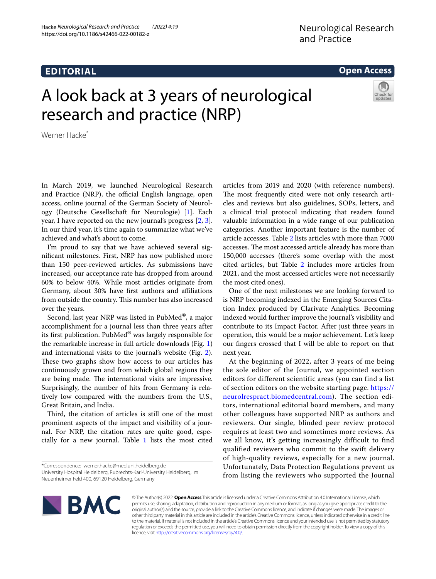## **EDITORIAL**

### **Open Access**

# A look back at 3 years of neurological research and practice (NRP)



Werner Hacke<sup>\*</sup>

In March 2019, we launched Neurological Research and Practice (NRP), the official English language, open access, online journal of the German Society of Neurology (Deutsche Gesellschaft für Neurologie) [[1\]](#page-2-0). Each year, I have reported on the new journal's progress [\[2](#page-2-1), [3](#page-2-2)]. In our third year, it's time again to summarize what we've achieved and what's about to come.

I'm proud to say that we have achieved several signifcant milestones. First, NRP has now published more than 150 peer-reviewed articles. As submissions have increased, our acceptance rate has dropped from around 60% to below 40%. While most articles originate from Germany, about 30% have frst authors and afliations from outside the country. This number has also increased over the years.

Second, last year NRP was listed in PubMed®, a major accomplishment for a journal less than three years after its frst publication. PubMed® was largely responsible for the remarkable increase in full article downloads (Fig. [1](#page-1-0)) and international visits to the journal's website (Fig. [2](#page-1-1)). These two graphs show how access to our articles has continuously grown and from which global regions they are being made. The international visits are impressive. Surprisingly, the number of hits from Germany is relatively low compared with the numbers from the U.S., Great Britain, and India.

Third, the citation of articles is still one of the most prominent aspects of the impact and visibility of a journal. For NRP, the citation rates are quite good, especially for a new journal. Table  $1$  lists the most cited

Neuenheimer Feld 400, 69120 Heidelberg, Germany

articles from 2019 and 2020 (with reference numbers). The most frequently cited were not only research articles and reviews but also guidelines, SOPs, letters, and a clinical trial protocol indicating that readers found valuable information in a wide range of our publication categories. Another important feature is the number of article accesses. Table [2](#page-2-4) lists articles with more than 7000 accesses. The most accessed article already has more than 150,000 accesses (there's some overlap with the most cited articles, but Table [2](#page-2-4) includes more articles from 2021, and the most accessed articles were not necessarily the most cited ones).

One of the next milestones we are looking forward to is NRP becoming indexed in the Emerging Sources Citation Index produced by Clarivate Analytics. Becoming indexed would further improve the journal's visibility and contribute to its Impact Factor. After just three years in operation, this would be a major achievement. Let's keep our fngers crossed that I will be able to report on that next year.

At the beginning of 2022, after 3 years of me being the sole editor of the Journal, we appointed section editors for different scientific areas (you can find a list of section editors on the website starting page. [https://](https://neurolrespract.biomedcentral.com) [neurolrespract.biomedcentral.com\)](https://neurolrespract.biomedcentral.com). The section editors, international editorial board members, and many other colleagues have supported NRP as authors and reviewers. Our single, blinded peer review protocol requires at least two and sometimes more reviews. As we all know, it's getting increasingly difficult to find qualified reviewers who commit to the swift delivery of high-quality reviews, especially for a new journal. Unfortunately, Data Protection Regulations prevent us from listing the reviewers who supported the Journal



© The Author(s) 2022. **Open Access** This article is licensed under a Creative Commons Attribution 4.0 International License, which permits use, sharing, adaptation, distribution and reproduction in any medium or format, as long as you give appropriate credit to the original author(s) and the source, provide a link to the Creative Commons licence, and indicate if changes were made. The images or other third party material in this article are included in the article's Creative Commons licence, unless indicated otherwise in a credit line to the material. If material is not included in the article's Creative Commons licence and your intended use is not permitted by statutory regulation or exceeds the permitted use, you will need to obtain permission directly from the copyright holder. To view a copy of this licence, visit [http://creativecommons.org/licenses/by/4.0/.](http://creativecommons.org/licenses/by/4.0/)

<sup>\*</sup>Correspondence: werner.hacke@med.uni.heidelberg.de University Hospital Heidelberg, Rubrechts-Karl-University Heidelberg, Im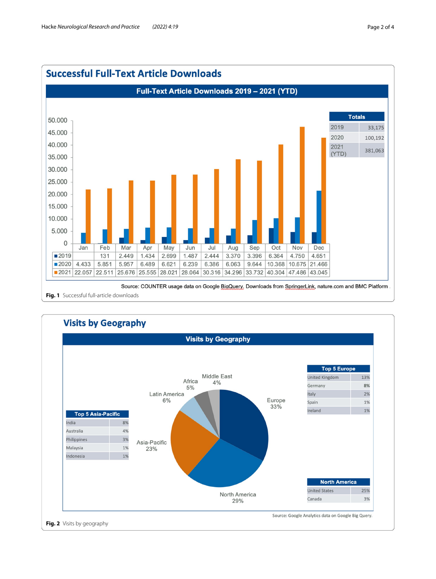

<span id="page-1-1"></span><span id="page-1-0"></span>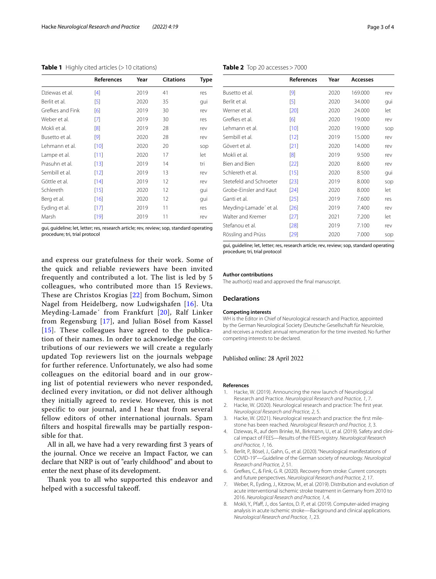|                  | <b>References</b> | Year | <b>Citations</b> | <b>Type</b> |
|------------------|-------------------|------|------------------|-------------|
| Dziewas et al.   | [4]               | 2019 | 41               | res         |
| Berlit et al.    | [5]               | 2020 | 35               | qui         |
| Grefkes and Fink | [6]               | 2019 | 30               | rev         |
| Weber et al.     | [7]               | 2019 | 30               | res         |
| Mokli et al.     | $\lceil 8 \rceil$ | 2019 | 28               | rev         |
| Busetto et al.   | [9]               | 2020 | 28               | rev         |
| I ehmann et al.  | [10]              | 2020 | 20               | sop         |
| Lampe et al.     | [11]              | 2020 | 17               | let         |
| Prasuhn et al.   | [13]              | 2019 | 14               | tri         |
| Sembill et al.   | [12]              | 2019 | 13               | rev         |
| Göttle et al.    | [14]              | 2019 | 12               | rev         |
| Schlereth        | [15]              | 2020 | 12               | qui         |
| Berg et al.      | [16]              | 2020 | 12               | qui         |
| Eyding et al.    | $[17]$            | 2019 | 11               | res         |
| Marsh            | [19]              | 2019 | 11               | rev         |

<span id="page-2-3"></span>**Table 1** Highly cited articles (>10 citations)

gui, guideline; let, letter; res, research article; rev, review; sop, standard operating procedure; tri, trial protocol

and express our gratefulness for their work. Some of the quick and reliable reviewers have been invited frequently and contributed a lot. The list is led by 5 colleagues, who contributed more than 15 Reviews. These are Christos Krogias [[22](#page-3-0)] from Bochum, Simon Nagel from Heidelberg, now Ludwigshafen [[16](#page-3-1)]. Uta Meyding-Lamade´ from Frankfurt [[20\]](#page-3-2), Ralf Linker from Regensburg [[17](#page-3-3)], and Julian Bösel from Kassel [[15](#page-3-4)]. These colleagues have agreed to the publication of their names. In order to acknowledge the contributions of our reviewers we will create a regularly updated Top reviewers list on the journals webpage for further reference. Unfortunately, we also had some colleagues on the editorial board and in our growing list of potential reviewers who never responded, declined every invitation, or did not deliver although they initially agreed to review. However, this is not specific to our journal, and I hear that from several fellow editors of other international journals. Spam filters and hospital firewalls may be partially responsible for that.

All in all, we have had a very rewarding frst 3 years of the journal. Once we receive an Impact Factor, we can declare that NRP is out of "early childhood" and about to enter the next phase of its development.

Thank you to all who supported this endeavor and helped with a successful takeoff.

<span id="page-2-4"></span>**Table 2** Top 20 accesses>7000

|                         | <b>References</b> | Year | Accesses |     |
|-------------------------|-------------------|------|----------|-----|
| Busetto et al.          | [9]               | 2020 | 169.000  | rev |
| Berlit et al.           | $[5]$             | 2020 | 34.000   | qui |
| Werner et al.           | $[20]$            | 2020 | 24.000   | let |
| Grefkes et al.          | [6]               | 2020 | 19.000   | rev |
| I ehmann et al.         | $[10]$            | 2020 | 19.000   | sop |
| Sembill et al.          | $[12]$            | 2019 | 15,000   | rev |
| Gövert et al.           | [21]              | 2020 | 14.000   | rev |
| Mokli et al.            | [8]               | 2019 | 9.500    | rev |
| Bien and Bien           | $[22]$            | 2020 | 8.600    | rev |
| Schlereth et al.        | $[15]$            | 2020 | 8.500    | qui |
| Stetefeld and Schroeter | $[23]$            | 2019 | 8.000    | sop |
| Grobe-Einsler and Kaut  | $[24]$            | 2020 | 8.000    | let |
| Ganti et al.            | $[25]$            | 2019 | 7.600    | res |
| Meyding-Lamade' et al.  | [26]              | 2019 | 7.400    | rev |
| Walter and Kremer       | $[27]$            | 2021 | 7.200    | let |
| Stefanou et al.         | $[28]$            | 2019 | 7.100    | rev |
| Rössling and Prüss      | $[29]$            | 2020 | 7.000    | sop |

gui, guideline; let, letter; res, research article; rev, review; sop, standard operating procedure; tri, trial protocol

#### **Author contributions**

The author(s) read and approved the fnal manuscript.

#### **Declarations**

#### **Competing interests**

WH is the Editor in Chief of Neurological research and Practice, appointed by the German Neurological Society (Deutsche Gesellschaft für Neuroloie, and receives a modest annual renumeration for the time invested. No further competing interests to be declared.

#### Published online: 28 April 2022

#### **References**

- <span id="page-2-0"></span>1. Hacke, W. (2019). Announcing the new launch of Neurological Research and Practice. *Neurological Research and Practice, 1*, 7.
- <span id="page-2-1"></span>2. Hacke, W. (2020). Neurological research and practice: The frst year. *Neurological Research and Practice, 2*, 5.
- <span id="page-2-2"></span>3. Hacke, W. (2021). Neurological research and practice: the frst milestone has been reached. *Neurological Research and Practice, 3*, 3.
- <span id="page-2-5"></span>4. Dziewas, R., auf dem Brinke, M., Birkmann, U., et al. (2019). Safety and clinical impact of FEES—Results of the FEES-registry. *Neurological Research and Practice, 1*, 16.
- <span id="page-2-6"></span>5. Berlit, P., Bösel, J., Gahn, G., et al. (2020). "Neurological manifestations of COVID-19"—Guideline of the German society of neurology. *Neurological Research and Practice, 2*, 51.
- <span id="page-2-7"></span>6. Grefkes, C., & Fink, G. R. (2020). Recovery from stroke: Current concepts and future perspectives. *Neurological Research and Practice, 2*, 17.
- <span id="page-2-8"></span>7. Weber, R., Eyding, J., Kitzrow, M., et al. (2019). Distribution and evolution of acute interventional ischemic stroke treatment in Germany from 2010 to 2016. *Neurological Research and Practice, 1*, 4.
- <span id="page-2-9"></span>8. Mokli, Y., Pfaff, J., dos Santos, D. P., et al. (2019). Computer-aided imaging analysis in acute ischemic stroke—Background and clinical applications. *Neurological Research and Practice, 1*, 23.